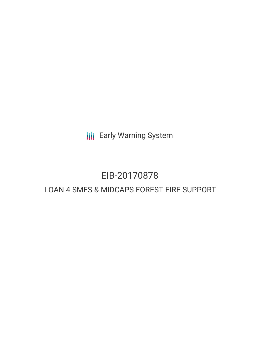**III** Early Warning System

# EIB-20170878

# LOAN 4 SMES & MIDCAPS FOREST FIRE SUPPORT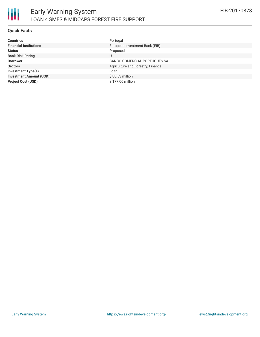# **Quick Facts**

| <b>Countries</b>               | Portugal                            |
|--------------------------------|-------------------------------------|
| <b>Financial Institutions</b>  | European Investment Bank (EIB)      |
| <b>Status</b>                  | Proposed                            |
| <b>Bank Risk Rating</b>        | U                                   |
| <b>Borrower</b>                | <b>BANCO COMERCIAL PORTUGUES SA</b> |
| <b>Sectors</b>                 | Agriculture and Forestry, Finance   |
| Investment Type(s)             | Loan                                |
| <b>Investment Amount (USD)</b> | $$88.53$ million                    |
| <b>Project Cost (USD)</b>      | \$177.06 million                    |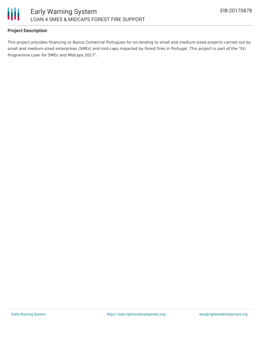

### **Project Description**

This project provides financing to Banco Comercial Portugues for on-lending to small and medium-sized projects carried out by small and medium-sized enterprises (SMEs) and mid-caps impacted by forest fires in Portugal. This project is part of the "EU Programme Loan for SMEs and Midcaps 2017".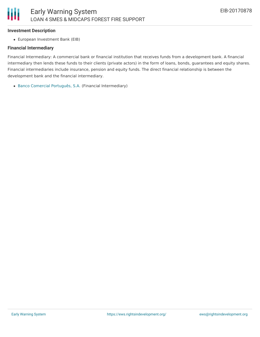#### **Investment Description**

European Investment Bank (EIB)

#### **Financial Intermediary**

Financial Intermediary: A commercial bank or financial institution that receives funds from a development bank. A financial intermediary then lends these funds to their clients (private actors) in the form of loans, bonds, guarantees and equity shares. Financial intermediaries include insurance, pension and equity funds. The direct financial relationship is between the development bank and the financial intermediary.

Banco Comercial [Português,](file:///actor/141/) S.A. (Financial Intermediary)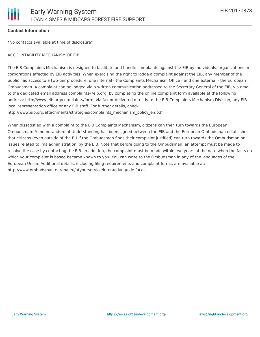#### **Contact Information**

\*No contacts available at time of disclosure\*

#### ACCOUNTABILITY MECHANISM OF EIB

The EIB Complaints Mechanism is designed to facilitate and handle complaints against the EIB by individuals, organizations or corporations affected by EIB activities. When exercising the right to lodge a complaint against the EIB, any member of the public has access to a two-tier procedure, one internal - the Complaints Mechanism Office - and one external - the European Ombudsman. A complaint can be lodged via a written communication addressed to the Secretary General of the EIB, via email to the dedicated email address complaints@eib.org, by completing the online complaint form available at the following address: http://www.eib.org/complaints/form, via fax or delivered directly to the EIB Complaints Mechanism Division, any EIB local representation office or any EIB staff. For further details, check:

http://www.eib.org/attachments/strategies/complaints\_mechanism\_policy\_en.pdf

When dissatisfied with a complaint to the EIB Complaints Mechanism, citizens can then turn towards the European Ombudsman. A memorandum of Understanding has been signed between the EIB and the European Ombudsman establishes that citizens (even outside of the EU if the Ombudsman finds their complaint justified) can turn towards the Ombudsman on issues related to 'maladministration' by the EIB. Note that before going to the Ombudsman, an attempt must be made to resolve the case by contacting the EIB. In addition, the complaint must be made within two years of the date when the facts on which your complaint is based became known to you. You can write to the Ombudsman in any of the languages of the European Union. Additional details, including filing requirements and complaint forms, are available at: http://www.ombudsman.europa.eu/atyourservice/interactiveguide.faces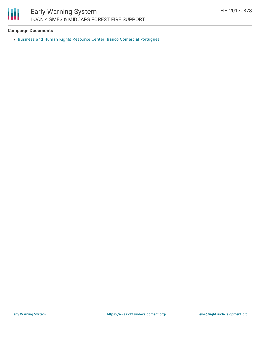

# **Campaign Documents**

Business and Human Rights Resource Center: Banco Comercial [Portugues](https://business-humanrights.org/en/banco-comercial-portugues)